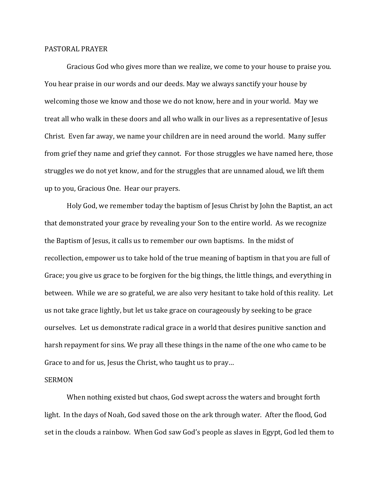## PASTORAL PRAYER

 Gracious God who gives more than we realize, we come to your house to praise you. You hear praise in our words and our deeds. May we always sanctify your house by welcoming those we know and those we do not know, here and in your world. May we treat all who walk in these doors and all who walk in our lives as a representative of Jesus Christ. Even far away, we name your children are in need around the world. Many suffer from grief they name and grief they cannot. For those struggles we have named here, those struggles we do not yet know, and for the struggles that are unnamed aloud, we lift them up to you, Gracious One. Hear our prayers.

 Holy God, we remember today the baptism of Jesus Christ by John the Baptist, an act that demonstrated your grace by revealing your Son to the entire world. As we recognize the Baptism of Jesus, it calls us to remember our own baptisms. In the midst of recollection, empower us to take hold of the true meaning of baptism in that you are full of Grace; you give us grace to be forgiven for the big things, the little things, and everything in between. While we are so grateful, we are also very hesitant to take hold of this reality. Let us not take grace lightly, but let us take grace on courageously by seeking to be grace ourselves. Let us demonstrate radical grace in a world that desires punitive sanction and harsh repayment for sins. We pray all these things in the name of the one who came to be Grace to and for us, Jesus the Christ, who taught us to pray…

## SERMON

 When nothing existed but chaos, God swept across the waters and brought forth light. In the days of Noah, God saved those on the ark through water. After the flood, God set in the clouds a rainbow. When God saw God's people as slaves in Egypt, God led them to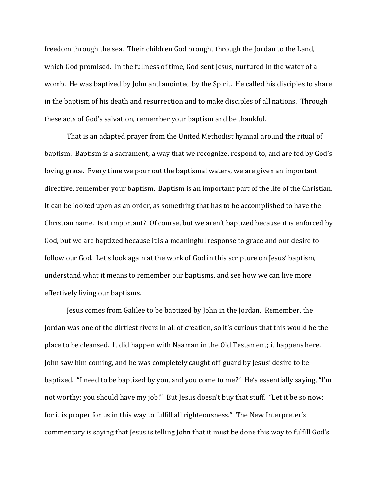freedom through the sea. Their children God brought through the Jordan to the Land, which God promised. In the fullness of time, God sent Jesus, nurtured in the water of a womb. He was baptized by John and anointed by the Spirit. He called his disciples to share in the baptism of his death and resurrection and to make disciples of all nations. Through these acts of God's salvation, remember your baptism and be thankful.

 That is an adapted prayer from the United Methodist hymnal around the ritual of baptism. Baptism is a sacrament, a way that we recognize, respond to, and are fed by God's loving grace. Every time we pour out the baptismal waters, we are given an important directive: remember your baptism. Baptism is an important part of the life of the Christian. It can be looked upon as an order, as something that has to be accomplished to have the Christian name. Is it important? Of course, but we aren't baptized because it is enforced by God, but we are baptized because it is a meaningful response to grace and our desire to follow our God. Let's look again at the work of God in this scripture on Jesus' baptism, understand what it means to remember our baptisms, and see how we can live more effectively living our baptisms.

 Jesus comes from Galilee to be baptized by John in the Jordan. Remember, the Jordan was one of the dirtiest rivers in all of creation, so it's curious that this would be the place to be cleansed. It did happen with Naaman in the Old Testament; it happens here. John saw him coming, and he was completely caught off-guard by Jesus' desire to be baptized. "I need to be baptized by you, and you come to me?" He's essentially saying, "I'm not worthy; you should have my job!" But Jesus doesn't buy that stuff. "Let it be so now; for it is proper for us in this way to fulfill all righteousness." The New Interpreter's commentary is saying that Jesus is telling John that it must be done this way to fulfill God's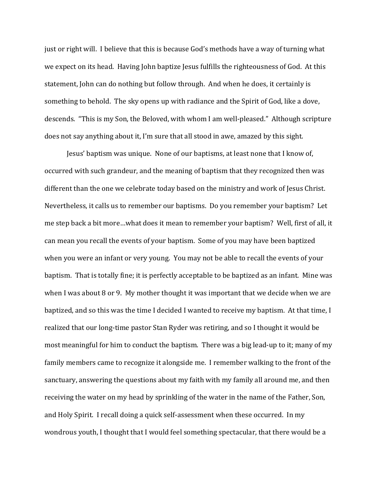just or right will. I believe that this is because God's methods have a way of turning what we expect on its head. Having John baptize Jesus fulfills the righteousness of God. At this statement, John can do nothing but follow through. And when he does, it certainly is something to behold. The sky opens up with radiance and the Spirit of God, like a dove, descends. "This is my Son, the Beloved, with whom I am well-pleased." Although scripture does not say anything about it, I'm sure that all stood in awe, amazed by this sight.

 Jesus' baptism was unique. None of our baptisms, at least none that I know of, occurred with such grandeur, and the meaning of baptism that they recognized then was different than the one we celebrate today based on the ministry and work of Jesus Christ. Nevertheless, it calls us to remember our baptisms. Do you remember your baptism? Let me step back a bit more…what does it mean to remember your baptism? Well, first of all, it can mean you recall the events of your baptism. Some of you may have been baptized when you were an infant or very young. You may not be able to recall the events of your baptism. That is totally fine; it is perfectly acceptable to be baptized as an infant. Mine was when I was about 8 or 9. My mother thought it was important that we decide when we are baptized, and so this was the time I decided I wanted to receive my baptism. At that time, I realized that our long-time pastor Stan Ryder was retiring, and so I thought it would be most meaningful for him to conduct the baptism. There was a big lead-up to it; many of my family members came to recognize it alongside me. I remember walking to the front of the sanctuary, answering the questions about my faith with my family all around me, and then receiving the water on my head by sprinkling of the water in the name of the Father, Son, and Holy Spirit. I recall doing a quick self-assessment when these occurred. In my wondrous youth, I thought that I would feel something spectacular, that there would be a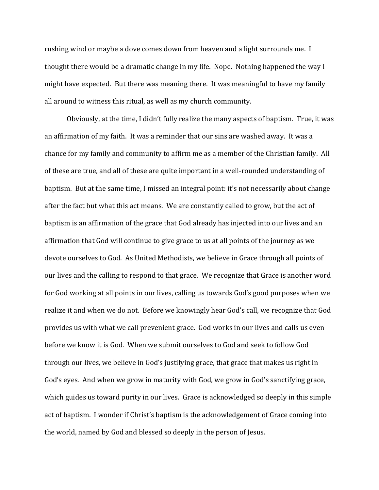rushing wind or maybe a dove comes down from heaven and a light surrounds me. I thought there would be a dramatic change in my life. Nope. Nothing happened the way I might have expected. But there was meaning there. It was meaningful to have my family all around to witness this ritual, as well as my church community.

Obviously, at the time, I didn't fully realize the many aspects of baptism. True, it was an affirmation of my faith. It was a reminder that our sins are washed away. It was a chance for my family and community to affirm me as a member of the Christian family. All of these are true, and all of these are quite important in a well-rounded understanding of baptism. But at the same time, I missed an integral point: it's not necessarily about change after the fact but what this act means. We are constantly called to grow, but the act of baptism is an affirmation of the grace that God already has injected into our lives and an affirmation that God will continue to give grace to us at all points of the journey as we devote ourselves to God. As United Methodists, we believe in Grace through all points of our lives and the calling to respond to that grace. We recognize that Grace is another word for God working at all points in our lives, calling us towards God's good purposes when we realize it and when we do not. Before we knowingly hear God's call, we recognize that God provides us with what we call prevenient grace. God works in our lives and calls us even before we know it is God. When we submit ourselves to God and seek to follow God through our lives, we believe in God's justifying grace, that grace that makes us right in God's eyes. And when we grow in maturity with God, we grow in God's sanctifying grace, which guides us toward purity in our lives. Grace is acknowledged so deeply in this simple act of baptism. I wonder if Christ's baptism is the acknowledgement of Grace coming into the world, named by God and blessed so deeply in the person of Jesus.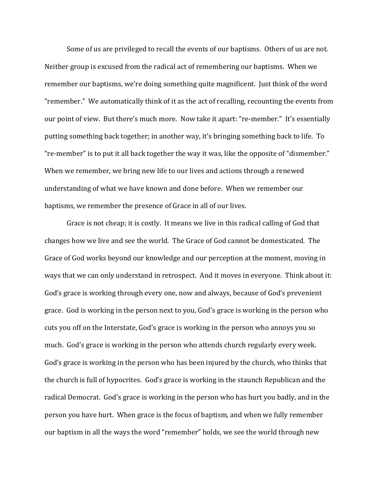Some of us are privileged to recall the events of our baptisms. Others of us are not. Neither group is excused from the radical act of remembering our baptisms. When we remember our baptisms, we're doing something quite magnificent. Just think of the word "remember." We automatically think of it as the act of recalling, recounting the events from our point of view. But there's much more. Now take it apart: "re-member." It's essentially putting something back together; in another way, it's bringing something back to life. To "re-member" is to put it all back together the way it was, like the opposite of "dismember." When we remember, we bring new life to our lives and actions through a renewed understanding of what we have known and done before. When we remember our baptisms, we remember the presence of Grace in all of our lives.

Grace is not cheap; it is costly. It means we live in this radical calling of God that changes how we live and see the world. The Grace of God cannot be domesticated. The Grace of God works beyond our knowledge and our perception at the moment, moving in ways that we can only understand in retrospect. And it moves in everyone. Think about it: God's grace is working through every one, now and always, because of God's prevenient grace. God is working in the person next to you, God's grace is working in the person who cuts you off on the Interstate, God's grace is working in the person who annoys you so much. God's grace is working in the person who attends church regularly every week. God's grace is working in the person who has been injured by the church, who thinks that the church is full of hypocrites. God's grace is working in the staunch Republican and the radical Democrat. God's grace is working in the person who has hurt you badly, and in the person you have hurt. When grace is the focus of baptism, and when we fully remember our baptism in all the ways the word "remember" holds, we see the world through new